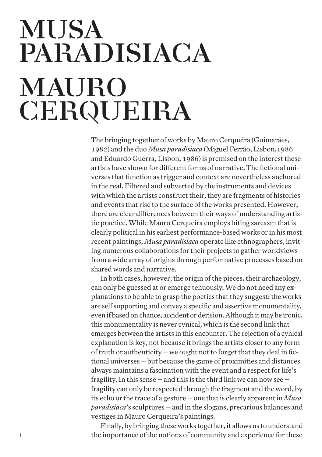### **MUSA PARADISIACA MAURO CERQUEIRA**

**The bringing together of works by Mauro Cerqueira (Guimarães, 1982) and the duo** *Musa paradisiaca* **(Miguel Ferrão, Lisbon,1986 and Eduardo Guerra, Lisbon, 1986) is premised on the interestthese artists have shown for differentforms of narrative. The fictional universes thatfunction as trigger and context are nevertheless anchored in the real. Filtered and subverted by the instruments and devices with which the artists constructtheir,they are fragments of histories and events that rise to the surface ofthe works presented. However, there are clear differences between their ways of understanding artistic practice.While Mauro Cerqueira employs biting sarcasm thatis clearly political in his earliest performance-based works or in his most recent paintings,** *Musa paradisiaca* **operate like ethnographers, inviting numerous collaborations for their projects to gather worldviews from a wide array of origins through performative processes based on shared words and narrative.**

In both cases, however, the origin of the pieces, their archaeology, **can only be guessed at or emerge tenuously.We do not need any explanations** to be able to grasp the poetics that they suggest: the works **are self supporting and convey a specific and assertive monumentality, even if based on chance, accident or derision. Although it may be ironic, this monumentality is never cynical, which is the second link that emerges between the artists in this encounter. The rejection of a cynical explanation is key, not because it brings the artists closer to any form oftruth or authenticity – we ought notto forgetthatthey deal in fictional universes – but because the game of proximities and distances always maintains a fascination with the event and a respectfor life's fragility.In this sense – and this is the third link we can now see – fragility can only be respected through the fragment and the word, by its echo or the trace of a gesture – one thatis clearly apparentin** *Musa paradisiaca***'s sculptures – and in the slogans, precarious balances and vestiges in Mauro Cerqueira's paintings.**

**Finally, by bringing these works together, it allows us to understand the importance ofthe notions of community and experience for these**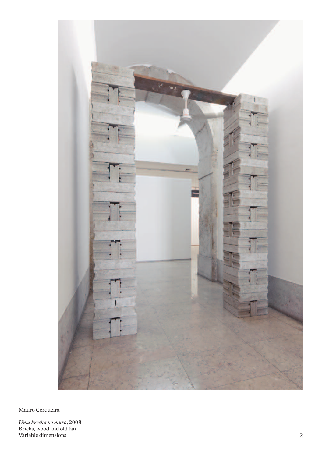

Mauro Cerqueira

Uma brecha no muro, 2008 Bricks, wood and old fan Variable dimensions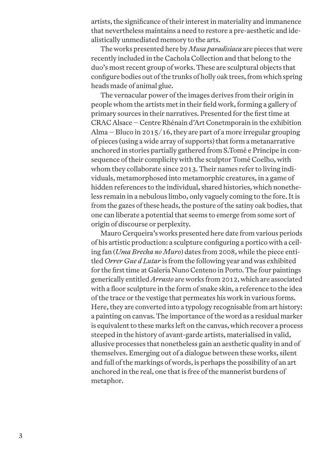**artists,the significance oftheir interestin materiality and immanence that nevertheless maintains a need to restore a pre-aesthetic and idealistically unmediated memory to the arts.**

**The works presented here by** *Musa paradisiaca* **are pieces that were recently included in the Cachola Collection and that belong to the duo's most recent group of works. These are sculptural objects that configure bodies out ofthe trunks of holly oak trees, from which spring heads made of animal glue.**

**The vernacular power ofthe images derives from their origin in people whom the artists metin their field work, forming a gallery of primary sources in their narratives. Presented for the firsttime at CRAC Alsace – Centre Rhénain d'Art Conetmporain in the exhibition** Alma – Bluco in  $2015/16$ , they are part of a more irregular grouping **of** pieces (using a wide array of supports) that form a metanarrative **anchored in stories partially gathered from S.Tomé e Principe in consequence oftheir complicity with the sculptor Tomé Coelho, with whom they collaborate since 2013. Their names refer to living individuals, metamorphosed into metamorphic creatures, in a game of hidden references to the individual, shared histories, which nonetheless remain in a nebulous limbo, only vaguely coming to the fore.Itis from the gazes ofthese heads,the posture ofthe satiny oak bodies,that one can liberate a potentialthat seems to emerge from some sort of origin of discourse or perplexity.**

**Mauro Cerqueira's works presented here date from various periods of his artistic production: a sculpture configuring a portico with a ceiling fan (***Uma Brecha no Muro***) dates from 2008, while the piece entitled** *Orrer Gue d Lutar* **is from the following year and was exhibited for the firsttime at Galeria Nuno Centeno in Porto. The four paintings generically entitled** *Arrasto* **are works from 2012, which are associated with a floor sculpture in the form of snake skin, a reference to the idea ofthe trace or the vestige that permeates his work in various forms. Here,they are converted into a typology recognisable from art history: a painting on canvas. The importance ofthe word as a residual marker is equivalentto these marks left on the canvas, which recover a process steeped in the history of avant-garde artists, materialised in valid, allusive processes that nonetheless gain an aesthetic quality in and of themselves. Emerging out of a dialogue between these works, silent and full ofthe markings of words, is perhaps the possibility of an art anchored in the real, one thatis free ofthe mannerist burdens of metaphor.**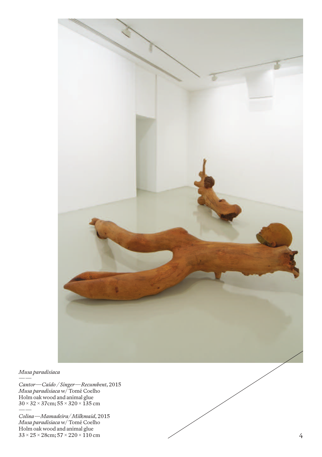

#### *Mu s a p a ra dis ia c a*

**— —**

Cantor—Caído / Singer—Recumbent, 2015 *Musa paradisiaca* w/ Tomé Coelho **H**olm oak wood and animal glue **3 0 × 3 2 × 3 7 c m ; 5 5 × 3 2 0 × 1 3 5 c m**

**— —** *Co lin a —Ma m a de ir a/ Milk m a id***, 2 0 1 5** *Musa paradisiaca* w/ Tomé Coelho **H**olm oak wood and animal glue  $33 \times 25 \times 28$ cm;  $57 \times 220 \times 110$  cm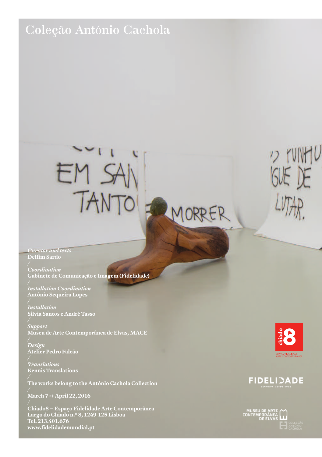### **Coleção António Cachola**

## EM S TANTO

*Curator and texts* **Delfim Sardo**

*Coordination* **Gabinete de Comunicação e Imagem (Fidelidade)**

*Installation Coordination* **António Sequeira Lopes**

*Installation* **Silvia Santos e André Tasso**

*Support* **Museu de Arte Contemporânea de Elvas, MACE**

*Design* **Atelier Pedro Falcão**

*Translations* **Kennis Translations**

**The works belong to the António Cachola Collection**

**March 7 -> April 22, 2016**

**Chiado8 – Espaço Fidelidade Arte Contemporânea Largo do Chiado n.º 8, 1249-125 Lisboa Tel. 213.401.676 www.fidelidademundial.pt**



s runtiu<br>ISUE DE

RER



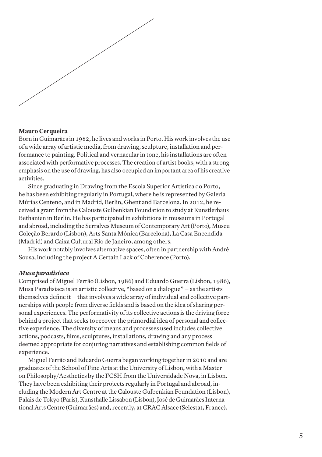

### **Mauro Cerqueira**

**Born in Guimarães in 1982, he lives and works in Porto. His work involves the use of a wide array of artistic media, from drawing, sculpture, installation and performance to painting. Political and vernacular in tone, his installations are often associated with performative processes. The creation of artist books, with a strong emphasis on the use of drawing, has also occupied an important area of his creative activities.**

**Since graduating in Drawing from the Escola Superior Artística do Porto, he has been exhibiting regularly in Portugal, where he is represented by Galeria Múrias Centeno, and in Madrid, Berlin, Ghent and Barcelona.In 2012, he received a grantfrom the Calouste Gulbenkian Foundation to study at Kunstlerhaus Bethanien in Berlin. He has participated in exhibitions in museums in Portugal and abroad, including the Serralves Museum of Contemporary Art(Porto), Museu Coleção Berardo (Lisbon), Arts Santa Mónica (Barcelona), La Casa Encendida (Madrid) and Caixa Cultural Rio de Janeiro, among others.**

**His work notably involves alternative spaces, often in partnership with André Sousa, including the project A Certain Lack of Coherence (Porto).**

#### *Musa paradisiaca*

**Comprised of Miguel Ferrão (Lisbon, 1986) and Eduardo Guerra (Lisbon, 1986), Musa Paradisiaca is an artistic collective, "based on a dialogue" – as the artists themselves define it – thatinvolves a wide array of individual and collective partnerships with people from diverse fields and is based on the idea of sharing personal experiences. The performativity of its collective actions is the driving force**  $b$ ehind a project that seeks to recover the primordial idea of personal and collec**tive experience. The diversity of means and processes used includes collective actions, podcasts, films, sculptures, installations, drawing and any process deemed appropriate for conjuring narratives and establishing common fields of experience.**

**Miguel Ferrão and Eduardo Guerra began working together in 2010 and are graduates ofthe School of Fine Arts atthe University of Lisbon, with a Master on Philosophy/Aesthetics by the FCSH from the Universidade Nova, in Lisbon. They have been exhibiting their projects regularly in Portugal and abroad, including the Modern Art Centre atthe Calouste Gulbenkian Foundation (Lisbon), Palais de Tokyo (Paris), Kunsthalle Lissabon (Lisbon),José de Guimarães International Arts Centre (Guimarães) and, recently, at CRAC Alsace (Selestat, France).**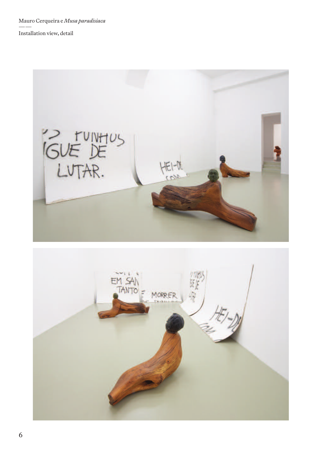Mauro Cerqueira e Musa paradisiaca

Installation view, detail